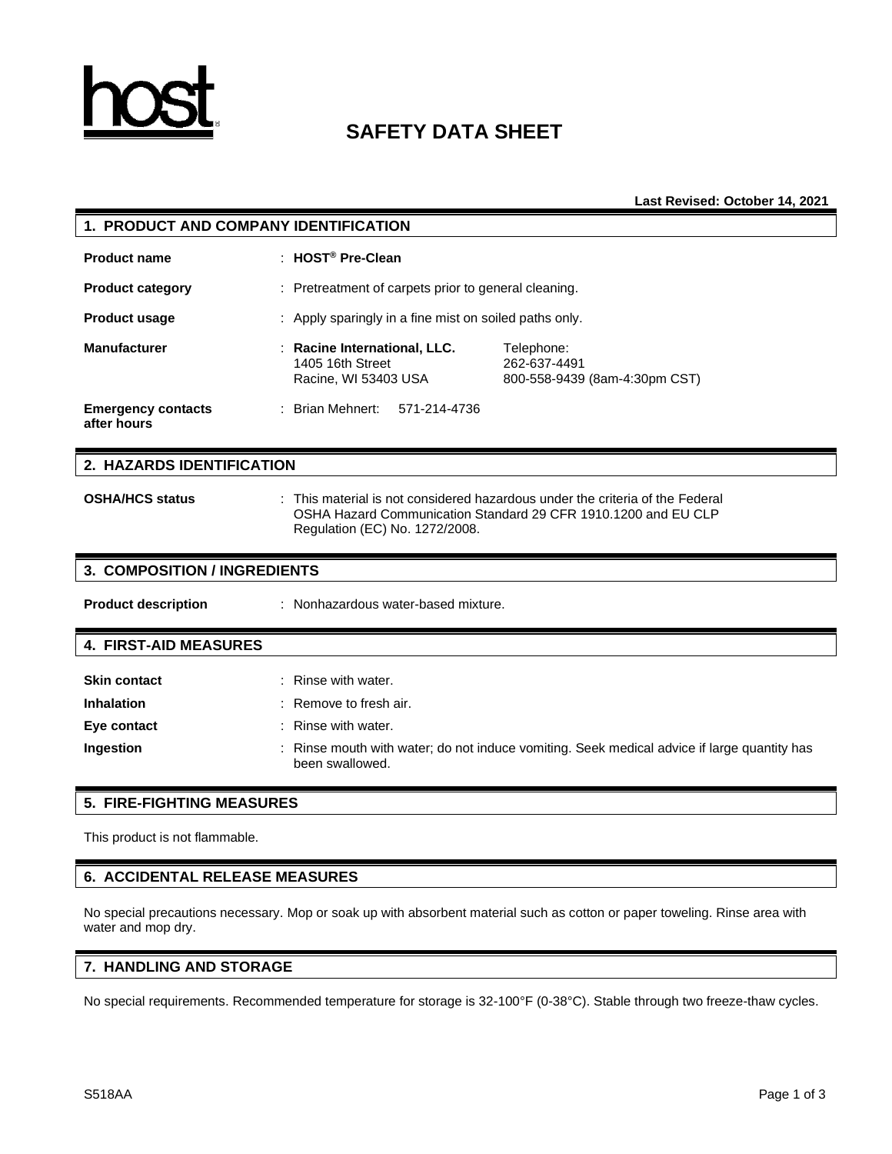

# **SAFETY DATA SHEET**

**Last Revised: October 14, 2021**

| 1. PRODUCT AND COMPANY IDENTIFICATION    |                                                                                                                                                                                 |  |  |  |  |  |
|------------------------------------------|---------------------------------------------------------------------------------------------------------------------------------------------------------------------------------|--|--|--|--|--|
| <b>Product name</b>                      | : HOST <sup>®</sup> Pre-Clean                                                                                                                                                   |  |  |  |  |  |
| <b>Product category</b>                  | : Pretreatment of carpets prior to general cleaning.                                                                                                                            |  |  |  |  |  |
| <b>Product usage</b>                     | Apply sparingly in a fine mist on soiled paths only.                                                                                                                            |  |  |  |  |  |
| <b>Manufacturer</b>                      | Racine International, LLC.<br>Telephone:<br>1405 16th Street<br>262-637-4491<br>Racine, WI 53403 USA<br>800-558-9439 (8am-4:30pm CST)                                           |  |  |  |  |  |
| <b>Emergency contacts</b><br>after hours | : Brian Mehnert:<br>571-214-4736                                                                                                                                                |  |  |  |  |  |
| 2. HAZARDS IDENTIFICATION                |                                                                                                                                                                                 |  |  |  |  |  |
| <b>OSHA/HCS status</b>                   | This material is not considered hazardous under the criteria of the Federal<br>OSHA Hazard Communication Standard 29 CFR 1910.1200 and EU CLP<br>Regulation (EC) No. 1272/2008. |  |  |  |  |  |
| <b>3. COMPOSITION / INGREDIENTS</b>      |                                                                                                                                                                                 |  |  |  |  |  |
| <b>Product description</b>               | : Nonhazardous water-based mixture.                                                                                                                                             |  |  |  |  |  |
| <b>4. FIRST-AID MEASURES</b>             |                                                                                                                                                                                 |  |  |  |  |  |
| <b>Skin contact</b>                      | Rinse with water.                                                                                                                                                               |  |  |  |  |  |
| <b>Inhalation</b>                        | Remove to fresh air.                                                                                                                                                            |  |  |  |  |  |
| Eye contact                              | Rinse with water.                                                                                                                                                               |  |  |  |  |  |
| Ingestion                                | Rinse mouth with water; do not induce vomiting. Seek medical advice if large quantity has<br>been swallowed.                                                                    |  |  |  |  |  |
| <b>5. FIRE-FIGHTING MEASURES</b>         |                                                                                                                                                                                 |  |  |  |  |  |

This product is not flammable.

## **6. ACCIDENTAL RELEASE MEASURES**

No special precautions necessary. Mop or soak up with absorbent material such as cotton or paper toweling. Rinse area with water and mop dry.

## **7. HANDLING AND STORAGE**

No special requirements. Recommended temperature for storage is 32-100°F (0-38°C). Stable through two freeze-thaw cycles.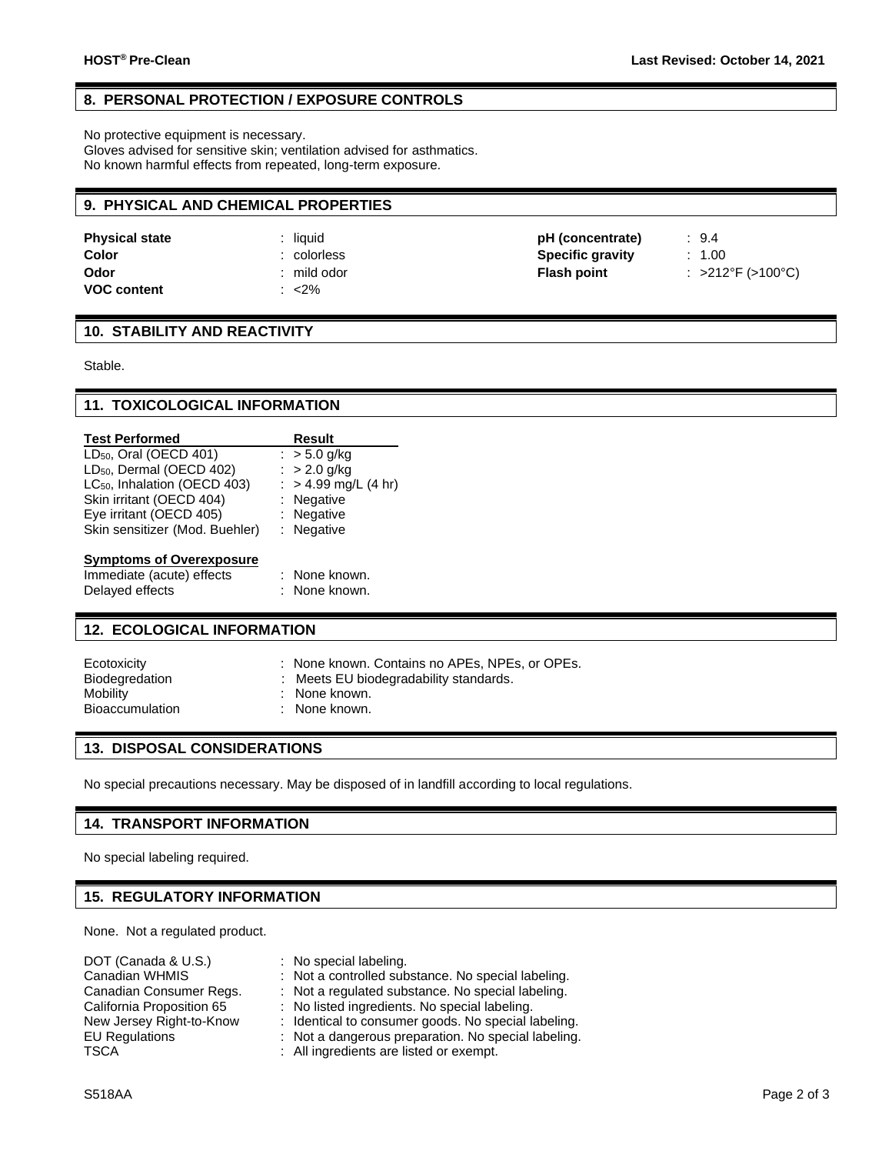## **8. PERSONAL PROTECTION / EXPOSURE CONTROLS**

No protective equipment is necessary.

Gloves advised for sensitive skin; ventilation advised for asthmatics. No known harmful effects from repeated, long-term exposure.

#### **9. PHYSICAL AND CHEMICAL PROPERTIES**

| <b>Physical state</b> | liauid    | pH (concentrate)        | : 9.4             |
|-----------------------|-----------|-------------------------|-------------------|
| Color                 | colorless | <b>Specific gravity</b> | 1.00              |
| Odor                  | mild odor | <b>Flash point</b>      | : >212°F (>100°C) |
| <b>VOC content</b>    | $<$ 2%    |                         |                   |

#### **10. STABILITY AND REACTIVITY**

Stable.

### **11. TOXICOLOGICAL INFORMATION**

| <b>Test Performed</b>                    | Result                 |
|------------------------------------------|------------------------|
| $LD_{50}$ , Oral (OECD 401)              | : $> 5.0$ g/kg         |
| LD <sub>50</sub> , Dermal (OECD 402)     | : $> 2.0$ g/kg         |
| LC <sub>50</sub> , Inhalation (OECD 403) | : $> 4.99$ mg/L (4 hr) |
| Skin irritant (OECD 404)                 | $:$ Negative           |
| Eye irritant (OECD 405)                  | : Negative             |
| Skin sensitizer (Mod. Buehler)           | $:$ Negative           |
| <b>Symptoms of Overexposure</b>          |                        |
| Immediate (acute) effects                | : None known.          |
| Delayed effects                          | : None known.          |
|                                          |                        |

# **12. ECOLOGICAL INFORMATION**

| : None known. Contains no APEs, NPEs, or OPEs.<br>Ecotoxicity<br><b>Biodegredation</b><br>: Meets EU biodegradability standards.<br>Mobility<br>: None known.<br><b>Bioaccumulation</b><br>: None known. |  |
|----------------------------------------------------------------------------------------------------------------------------------------------------------------------------------------------------------|--|
|----------------------------------------------------------------------------------------------------------------------------------------------------------------------------------------------------------|--|

## **13. DISPOSAL CONSIDERATIONS**

No special precautions necessary. May be disposed of in landfill according to local regulations.

#### **14. TRANSPORT INFORMATION**

No special labeling required.

## **15. REGULATORY INFORMATION**

None. Not a regulated product.

| DOT (Canada & U.S.)       | : No special labeling.                              |
|---------------------------|-----------------------------------------------------|
| Canadian WHMIS            | : Not a controlled substance. No special labeling.  |
| Canadian Consumer Regs.   | : Not a regulated substance. No special labeling.   |
| California Proposition 65 | : No listed ingredients. No special labeling.       |
| New Jersey Right-to-Know  | : Identical to consumer goods. No special labeling. |
| <b>EU Regulations</b>     | : Not a dangerous preparation. No special labeling. |
| TSCA                      | : All ingredients are listed or exempt.             |
|                           |                                                     |